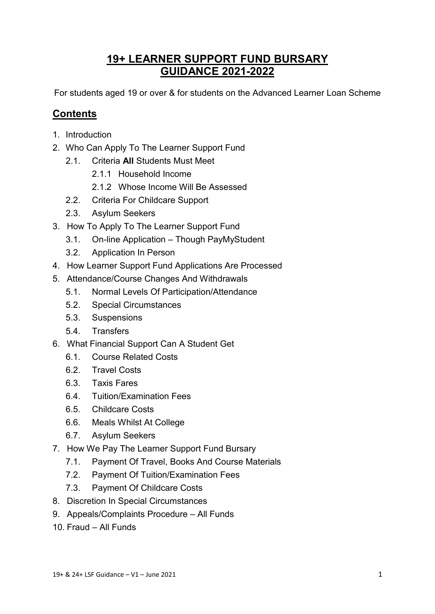# **19+ LEARNER SUPPORT FUND BURSARY GUIDANCE 2021-2022**

For students aged 19 or over & for students on the Advanced Learner Loan Scheme

# **Contents**

- 1. Introduction
- 2. Who Can Apply To The Learner Support Fund
	- 2.1. Criteria **All** Students Must Meet
		- 2.1.1 Household Income
		- 2.1.2 Whose Income Will Be Assessed
	- 2.2. Criteria For Childcare Support
	- 2.3. Asylum Seekers
- 3. How To Apply To The Learner Support Fund
	- 3.1. On-line Application Though PayMyStudent
	- 3.2. Application In Person
- 4. How Learner Support Fund Applications Are Processed
- 5. Attendance/Course Changes And Withdrawals
	- 5.1. Normal Levels Of Participation/Attendance
	- 5.2. Special Circumstances
	- 5.3. Suspensions
	- 5.4. Transfers
- 6. What Financial Support Can A Student Get
	- 6.1. Course Related Costs
	- 6.2. Travel Costs
	- 6.3. Taxis Fares
	- 6.4. Tuition/Examination Fees
	- 6.5. Childcare Costs
	- 6.6. Meals Whilst At College
	- 6.7. Asylum Seekers
- 7. How We Pay The Learner Support Fund Bursary
	- 7.1. Payment Of Travel, Books And Course Materials
	- 7.2. Payment Of Tuition/Examination Fees
	- 7.3. Payment Of Childcare Costs
- 8. Discretion In Special Circumstances
- 9. Appeals/Complaints Procedure All Funds
- 10. Fraud All Funds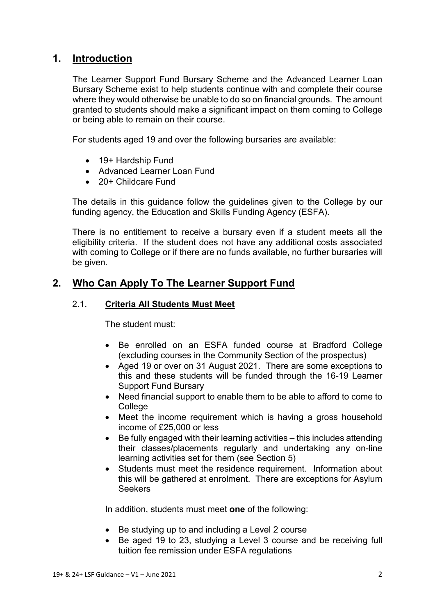# **1. Introduction**

The Learner Support Fund Bursary Scheme and the Advanced Learner Loan Bursary Scheme exist to help students continue with and complete their course where they would otherwise be unable to do so on financial grounds. The amount granted to students should make a significant impact on them coming to College or being able to remain on their course.

For students aged 19 and over the following bursaries are available:

- 19+ Hardship Fund
- Advanced Learner Loan Fund
- 20+ Childcare Fund

The details in this guidance follow the guidelines given to the College by our funding agency, the Education and Skills Funding Agency (ESFA).

There is no entitlement to receive a bursary even if a student meets all the eligibility criteria. If the student does not have any additional costs associated with coming to College or if there are no funds available, no further bursaries will be given.

# **2. Who Can Apply To The Learner Support Fund**

## 2.1. **Criteria All Students Must Meet**

The student must:

- Be enrolled on an ESFA funded course at Bradford College (excluding courses in the Community Section of the prospectus)
- Aged 19 or over on 31 August 2021. There are some exceptions to this and these students will be funded through the 16-19 Learner Support Fund Bursary
- Need financial support to enable them to be able to afford to come to **College**
- Meet the income requirement which is having a gross household income of £25,000 or less
- Be fully engaged with their learning activities this includes attending their classes/placements regularly and undertaking any on-line learning activities set for them (see Section 5)
- Students must meet the residence requirement. Information about this will be gathered at enrolment. There are exceptions for Asylum **Seekers**

In addition, students must meet **one** of the following:

- Be studying up to and including a Level 2 course
- Be aged 19 to 23, studying a Level 3 course and be receiving full tuition fee remission under ESFA regulations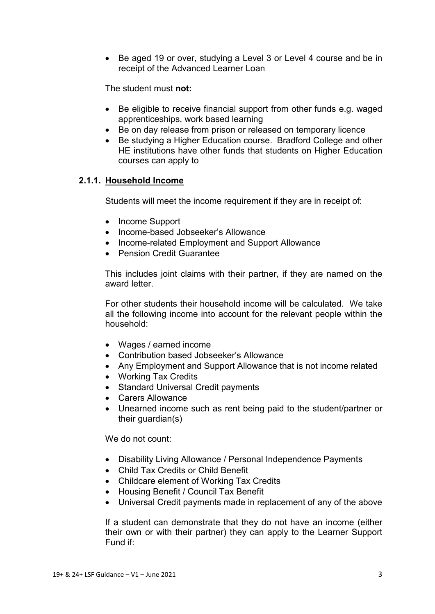• Be aged 19 or over, studying a Level 3 or Level 4 course and be in receipt of the Advanced Learner Loan

The student must **not:**

- Be eligible to receive financial support from other funds e.g. waged apprenticeships, work based learning
- Be on day release from prison or released on temporary licence
- Be studying a Higher Education course. Bradford College and other HE institutions have other funds that students on Higher Education courses can apply to

## **2.1.1. Household Income**

Students will meet the income requirement if they are in receipt of:

- Income Support
- Income-based Jobseeker's Allowance
- Income-related Employment and Support Allowance
- Pension Credit Guarantee

This includes joint claims with their partner, if they are named on the award letter.

For other students their household income will be calculated. We take all the following income into account for the relevant people within the household:

- Wages / earned income
- Contribution based Jobseeker's Allowance
- Any Employment and Support Allowance that is not income related
- Working Tax Credits
- Standard Universal Credit payments
- Carers Allowance
- Unearned income such as rent being paid to the student/partner or their guardian(s)

We do not count:

- Disability Living Allowance / Personal Independence Payments
- Child Tax Credits or Child Benefit
- Childcare element of Working Tax Credits
- Housing Benefit / Council Tax Benefit
- Universal Credit payments made in replacement of any of the above

If a student can demonstrate that they do not have an income (either their own or with their partner) they can apply to the Learner Support Fund if: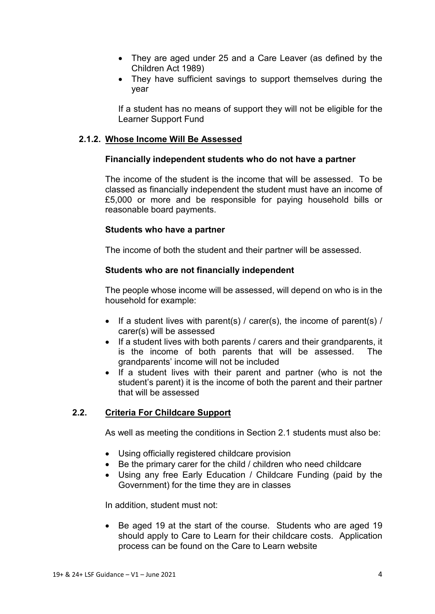- They are aged under 25 and a Care Leaver (as defined by the Children Act 1989)
- They have sufficient savings to support themselves during the year

If a student has no means of support they will not be eligible for the Learner Support Fund

# **2.1.2. Whose Income Will Be Assessed**

## **Financially independent students who do not have a partner**

The income of the student is the income that will be assessed. To be classed as financially independent the student must have an income of £5,000 or more and be responsible for paying household bills or reasonable board payments.

# **Students who have a partner**

The income of both the student and their partner will be assessed.

# **Students who are not financially independent**

The people whose income will be assessed, will depend on who is in the household for example:

- If a student lives with parent(s) / carer(s), the income of parent(s) / carer(s) will be assessed
- If a student lives with both parents / carers and their grandparents, it is the income of both parents that will be assessed. The grandparents' income will not be included
- If a student lives with their parent and partner (who is not the student's parent) it is the income of both the parent and their partner that will be assessed

# **2.2. Criteria For Childcare Support**

As well as meeting the conditions in Section 2.1 students must also be:

- Using officially registered childcare provision
- Be the primary carer for the child / children who need childcare
- Using any free Early Education / Childcare Funding (paid by the Government) for the time they are in classes

In addition, student must not:

• Be aged 19 at the start of the course. Students who are aged 19 should apply to Care to Learn for their childcare costs. Application process can be found on the Care to Learn website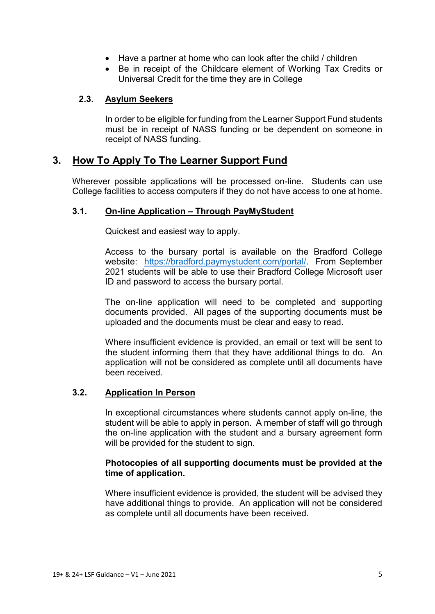- Have a partner at home who can look after the child / children
- Be in receipt of the Childcare element of Working Tax Credits or Universal Credit for the time they are in College

## **2.3. Asylum Seekers**

In order to be eligible for funding from the Learner Support Fund students must be in receipt of NASS funding or be dependent on someone in receipt of NASS funding.

# **3. How To Apply To The Learner Support Fund**

Wherever possible applications will be processed on-line. Students can use College facilities to access computers if they do not have access to one at home.

# **3.1. On-line Application – Through PayMyStudent**

Quickest and easiest way to apply.

Access to the bursary portal is available on the Bradford College website: [https://bradford.paymystudent.com/portal/.](https://bradford.paymystudent.com/portal/) From September 2021 students will be able to use their Bradford College Microsoft user ID and password to access the bursary portal.

The on-line application will need to be completed and supporting documents provided. All pages of the supporting documents must be uploaded and the documents must be clear and easy to read.

Where insufficient evidence is provided, an email or text will be sent to the student informing them that they have additional things to do. An application will not be considered as complete until all documents have been received.

## **3.2. Application In Person**

In exceptional circumstances where students cannot apply on-line, the student will be able to apply in person. A member of staff will go through the on-line application with the student and a bursary agreement form will be provided for the student to sign.

## **Photocopies of all supporting documents must be provided at the time of application.**

Where insufficient evidence is provided, the student will be advised they have additional things to provide. An application will not be considered as complete until all documents have been received.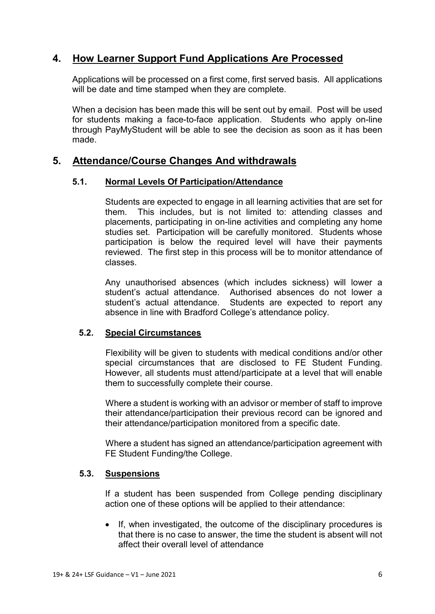# **4. How Learner Support Fund Applications Are Processed**

Applications will be processed on a first come, first served basis. All applications will be date and time stamped when they are complete.

When a decision has been made this will be sent out by email. Post will be used for students making a face-to-face application. Students who apply on-line through PayMyStudent will be able to see the decision as soon as it has been made.

# **5. Attendance/Course Changes And withdrawals**

## **5.1. Normal Levels Of Participation/Attendance**

Students are expected to engage in all learning activities that are set for them. This includes, but is not limited to: attending classes and placements, participating in on-line activities and completing any home studies set. Participation will be carefully monitored. Students whose participation is below the required level will have their payments reviewed. The first step in this process will be to monitor attendance of classes.

Any unauthorised absences (which includes sickness) will lower a student's actual attendance. Authorised absences do not lower a student's actual attendance. Students are expected to report any absence in line with Bradford College's attendance policy.

## **5.2. Special Circumstances**

Flexibility will be given to students with medical conditions and/or other special circumstances that are disclosed to FE Student Funding. However, all students must attend/participate at a level that will enable them to successfully complete their course.

Where a student is working with an advisor or member of staff to improve their attendance/participation their previous record can be ignored and their attendance/participation monitored from a specific date.

Where a student has signed an attendance/participation agreement with FE Student Funding/the College.

#### **5.3. Suspensions**

If a student has been suspended from College pending disciplinary action one of these options will be applied to their attendance:

• If, when investigated, the outcome of the disciplinary procedures is that there is no case to answer, the time the student is absent will not affect their overall level of attendance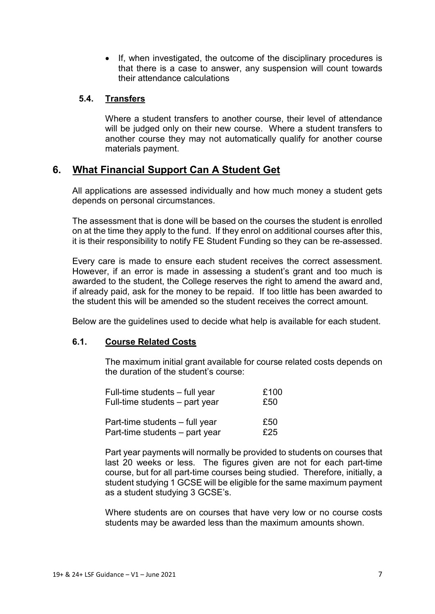• If, when investigated, the outcome of the disciplinary procedures is that there is a case to answer, any suspension will count towards their attendance calculations

# **5.4. Transfers**

Where a student transfers to another course, their level of attendance will be judged only on their new course. Where a student transfers to another course they may not automatically qualify for another course materials payment.

# **6. What Financial Support Can A Student Get**

All applications are assessed individually and how much money a student gets depends on personal circumstances.

The assessment that is done will be based on the courses the student is enrolled on at the time they apply to the fund. If they enrol on additional courses after this, it is their responsibility to notify FE Student Funding so they can be re-assessed.

Every care is made to ensure each student receives the correct assessment. However, if an error is made in assessing a student's grant and too much is awarded to the student, the College reserves the right to amend the award and, if already paid, ask for the money to be repaid. If too little has been awarded to the student this will be amended so the student receives the correct amount.

Below are the guidelines used to decide what help is available for each student.

## **6.1. Course Related Costs**

The maximum initial grant available for course related costs depends on the duration of the student's course:

| Full-time students - full year | £100 |
|--------------------------------|------|
| Full-time students – part year | £50  |
| Part-time students – full year | £50  |
| Part-time students – part year | £25  |

Part year payments will normally be provided to students on courses that last 20 weeks or less. The figures given are not for each part-time course, but for all part-time courses being studied. Therefore, initially, a student studying 1 GCSE will be eligible for the same maximum payment as a student studying 3 GCSE's.

Where students are on courses that have very low or no course costs students may be awarded less than the maximum amounts shown.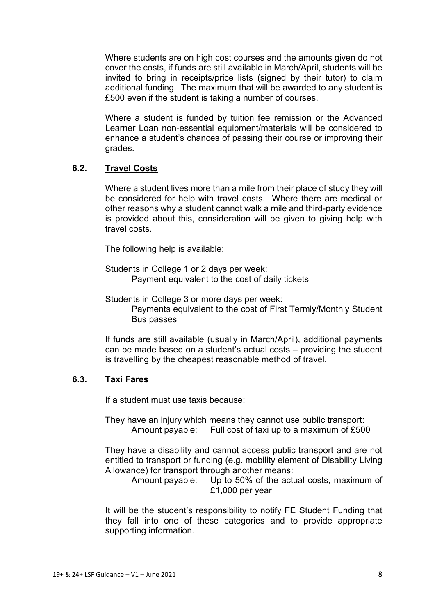Where students are on high cost courses and the amounts given do not cover the costs, if funds are still available in March/April, students will be invited to bring in receipts/price lists (signed by their tutor) to claim additional funding. The maximum that will be awarded to any student is £500 even if the student is taking a number of courses.

Where a student is funded by tuition fee remission or the Advanced Learner Loan non-essential equipment/materials will be considered to enhance a student's chances of passing their course or improving their grades.

# **6.2. Travel Costs**

Where a student lives more than a mile from their place of study they will be considered for help with travel costs. Where there are medical or other reasons why a student cannot walk a mile and third-party evidence is provided about this, consideration will be given to giving help with travel costs.

The following help is available:

Students in College 1 or 2 days per week: Payment equivalent to the cost of daily tickets

Students in College 3 or more days per week: Payments equivalent to the cost of First Termly/Monthly Student Bus passes

If funds are still available (usually in March/April), additional payments can be made based on a student's actual costs – providing the student is travelling by the cheapest reasonable method of travel.

## **6.3. Taxi Fares**

If a student must use taxis because:

They have an injury which means they cannot use public transport: Amount payable: Full cost of taxi up to a maximum of £500

They have a disability and cannot access public transport and are not entitled to transport or funding (e.g. mobility element of Disability Living Allowance) for transport through another means:

Amount payable: Up to 50% of the actual costs, maximum of £1,000 per year

It will be the student's responsibility to notify FE Student Funding that they fall into one of these categories and to provide appropriate supporting information.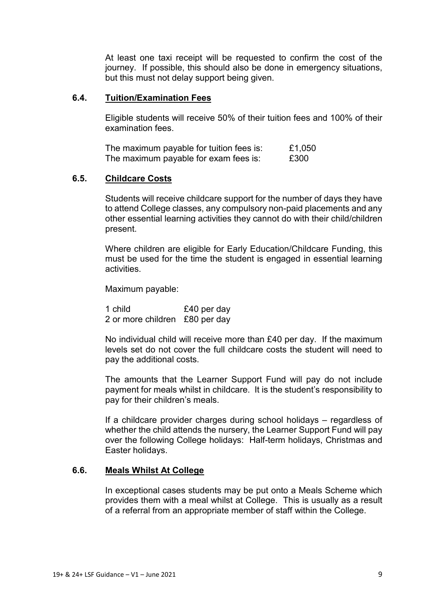At least one taxi receipt will be requested to confirm the cost of the journey. If possible, this should also be done in emergency situations, but this must not delay support being given.

#### **6.4. Tuition/Examination Fees**

Eligible students will receive 50% of their tuition fees and 100% of their examination fees.

| The maximum payable for tuition fees is: |  | £1,050 |
|------------------------------------------|--|--------|
| The maximum payable for exam fees is:    |  | £300   |

#### **6.5. Childcare Costs**

Students will receive childcare support for the number of days they have to attend College classes, any compulsory non-paid placements and any other essential learning activities they cannot do with their child/children present.

Where children are eligible for Early Education/Childcare Funding, this must be used for the time the student is engaged in essential learning activities.

Maximum payable:

1 child £40 per day 2 or more children £80 per day

No individual child will receive more than £40 per day. If the maximum levels set do not cover the full childcare costs the student will need to pay the additional costs.

The amounts that the Learner Support Fund will pay do not include payment for meals whilst in childcare. It is the student's responsibility to pay for their children's meals.

If a childcare provider charges during school holidays – regardless of whether the child attends the nursery, the Learner Support Fund will pay over the following College holidays: Half-term holidays, Christmas and Easter holidays.

## **6.6. Meals Whilst At College**

In exceptional cases students may be put onto a Meals Scheme which provides them with a meal whilst at College. This is usually as a result of a referral from an appropriate member of staff within the College.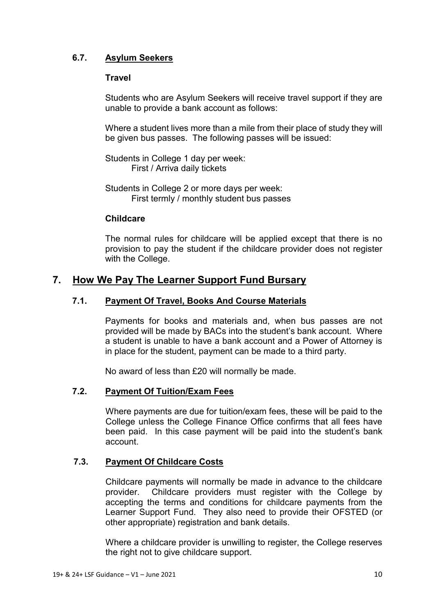# **6.7. Asylum Seekers**

## **Travel**

Students who are Asylum Seekers will receive travel support if they are unable to provide a bank account as follows:

Where a student lives more than a mile from their place of study they will be given bus passes. The following passes will be issued:

Students in College 1 day per week: First / Arriva daily tickets

Students in College 2 or more days per week: First termly / monthly student bus passes

## **Childcare**

The normal rules for childcare will be applied except that there is no provision to pay the student if the childcare provider does not register with the College.

# **7. How We Pay The Learner Support Fund Bursary**

## **7.1. Payment Of Travel, Books And Course Materials**

Payments for books and materials and, when bus passes are not provided will be made by BACs into the student's bank account. Where a student is unable to have a bank account and a Power of Attorney is in place for the student, payment can be made to a third party.

No award of less than £20 will normally be made.

## **7.2. Payment Of Tuition/Exam Fees**

Where payments are due for tuition/exam fees, these will be paid to the College unless the College Finance Office confirms that all fees have been paid. In this case payment will be paid into the student's bank account.

## **7.3. Payment Of Childcare Costs**

Childcare payments will normally be made in advance to the childcare provider. Childcare providers must register with the College by accepting the terms and conditions for childcare payments from the Learner Support Fund. They also need to provide their OFSTED (or other appropriate) registration and bank details.

Where a childcare provider is unwilling to register, the College reserves the right not to give childcare support.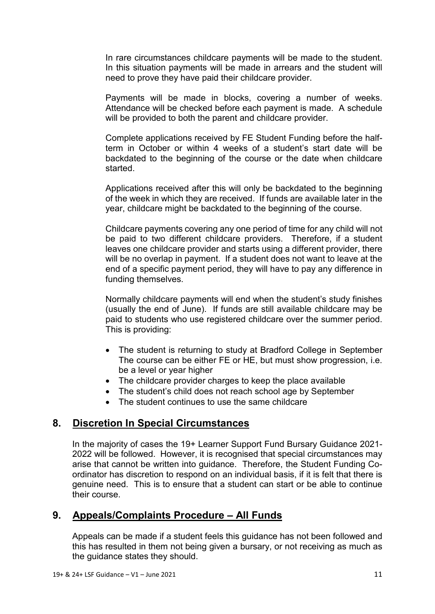In rare circumstances childcare payments will be made to the student. In this situation payments will be made in arrears and the student will need to prove they have paid their childcare provider.

Payments will be made in blocks, covering a number of weeks. Attendance will be checked before each payment is made. A schedule will be provided to both the parent and childcare provider.

Complete applications received by FE Student Funding before the halfterm in October or within 4 weeks of a student's start date will be backdated to the beginning of the course or the date when childcare started.

Applications received after this will only be backdated to the beginning of the week in which they are received. If funds are available later in the year, childcare might be backdated to the beginning of the course.

Childcare payments covering any one period of time for any child will not be paid to two different childcare providers. Therefore, if a student leaves one childcare provider and starts using a different provider, there will be no overlap in payment. If a student does not want to leave at the end of a specific payment period, they will have to pay any difference in funding themselves.

Normally childcare payments will end when the student's study finishes (usually the end of June). If funds are still available childcare may be paid to students who use registered childcare over the summer period. This is providing:

- The student is returning to study at Bradford College in September The course can be either FE or HE, but must show progression, i.e. be a level or year higher
- The childcare provider charges to keep the place available
- The student's child does not reach school age by September
- The student continues to use the same childcare

# **8. Discretion In Special Circumstances**

In the majority of cases the 19+ Learner Support Fund Bursary Guidance 2021- 2022 will be followed. However, it is recognised that special circumstances may arise that cannot be written into guidance. Therefore, the Student Funding Coordinator has discretion to respond on an individual basis, if it is felt that there is genuine need. This is to ensure that a student can start or be able to continue their course.

# **9. Appeals/Complaints Procedure – All Funds**

Appeals can be made if a student feels this guidance has not been followed and this has resulted in them not being given a bursary, or not receiving as much as the guidance states they should.